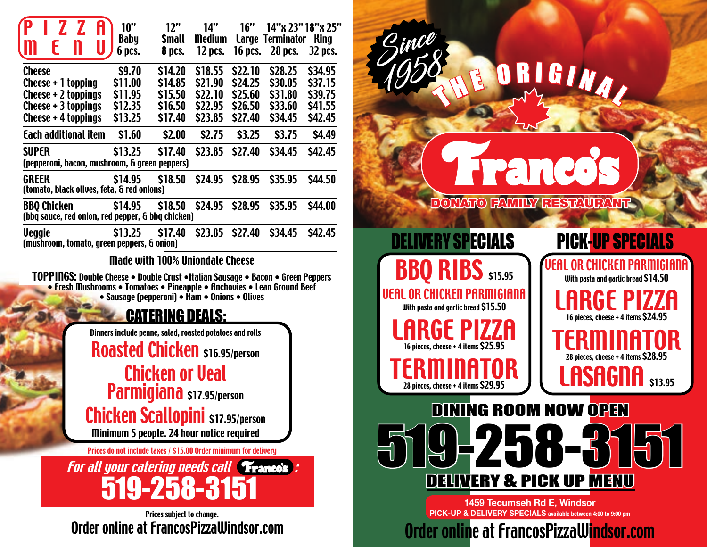| ŀ<br>Ш                                                                                                                                                                                             | 10"<br><b>Baby</b><br>6 pcs.                                                                                                                                                                                                                                                                                       | 12"<br><b>Small</b><br>8 pcs.                                            | 14"<br><b>Medium</b><br>12 pcs.                                          | 16"<br><b>16 pcs.</b>                                                          | Large Terminator King<br>28 pcs.                                         | 14"x 23" 18"x 25"<br>32 pcs.                                             |                                                                                                                       |
|----------------------------------------------------------------------------------------------------------------------------------------------------------------------------------------------------|--------------------------------------------------------------------------------------------------------------------------------------------------------------------------------------------------------------------------------------------------------------------------------------------------------------------|--------------------------------------------------------------------------|--------------------------------------------------------------------------|--------------------------------------------------------------------------------|--------------------------------------------------------------------------|--------------------------------------------------------------------------|-----------------------------------------------------------------------------------------------------------------------|
| <b>Cheese</b><br>Cheese + 1 topping<br>Cheese + 2 toppings<br>Cheese $+3$ toppings<br>Cheese + 4 toppings<br>Each additional item<br><b>SUPER</b><br>(pepperoni, bacon, mushroom, & green peppers) | \$9.70<br>\$11.00<br>\$11.95<br>\$12.35<br>\$13.25<br>\$1.60<br><b>S13.25</b>                                                                                                                                                                                                                                      | \$14.20<br>\$14.85<br>\$15.50<br>\$16.50<br>\$17.40<br>\$2.00<br>\$17.40 | \$18.55<br>\$21.90<br>\$22.10<br>\$22.95<br>\$23.85<br>\$2.75<br>\$23.85 | \$22.10<br><b>S24.25</b><br>\$25.60<br>\$26.50<br>\$27.40<br>\$3.25<br>\$27.40 | \$28.25<br>\$30.05<br>\$31.80<br>\$33.60<br>\$34.45<br>\$3.75<br>\$34.45 | \$34.95<br>\$37.15<br>\$39.75<br>\$41.55<br>\$42.45<br>\$4.49<br>\$42.45 |                                                                                                                       |
| <b>GREEK</b><br>(tomato, black olives, feta, & red onions)                                                                                                                                         | \$14.95                                                                                                                                                                                                                                                                                                            | \$18.50                                                                  | <b>S24.95</b>                                                            | \$28.95                                                                        | \$35.95                                                                  | \$44.50                                                                  |                                                                                                                       |
| <b>BBO Chicken</b><br>(bbq sauce, red onion, red pepper, & bbq chicken)                                                                                                                            | <b>S14.95</b>                                                                                                                                                                                                                                                                                                      | \$18.50                                                                  | <b>S24.95</b>                                                            | \$28.95                                                                        | \$35.95                                                                  | <b>\$44.00</b>                                                           | <b>DONATI</b>                                                                                                         |
| <b>Veggie</b><br>(mushroom, tomato, green peppers, & onion)                                                                                                                                        | \$13.25                                                                                                                                                                                                                                                                                                            | \$17.40                                                                  | <b>S23.85</b>                                                            | \$27.40                                                                        | <b>S34.45</b>                                                            | <b>\$42.45</b>                                                           |                                                                                                                       |
| TOPPINGS: Double Cheese • Double Crust •Italian Sausage • Bacon • Green Peppers<br>• Fresh Mushrooms • Tomatoes • Pineapple • Anchovies • Lean Ground Beef                                         | <b>Made with 100% Uniondale Cheese</b><br>• Sausage (pepperoni) • Ham • Onions • Olives<br>Dinners include penne, salad, roasted potatoes and rolls<br><b>Roasted Chicken \$16.95/person</b><br>Parmigiana \$17.95/person<br><b>Chicken Scallopini</b> \$17.95/person<br>Minimum 5 people. 24 hour notice required | <u>CATERING DEALS:</u><br><b>Chicken or Veal</b>                         |                                                                          |                                                                                |                                                                          |                                                                          | VEAL OR CHICKEN PI<br>With pasta and garlic brea<br>16 pieces, cheese + 4 iten<br>28 pieces, cheese + 4 item<br>DININ |
|                                                                                                                                                                                                    | Prices do not include taxes / \$15.00 Order minimum for delivery<br><b>For all your catering needs call France's:</b><br>519-258-3151                                                                                                                                                                              |                                                                          |                                                                          |                                                                                |                                                                          |                                                                          | ] 3 4                                                                                                                 |
|                                                                                                                                                                                                    | Order online at FrancosPizzaWindsor.com                                                                                                                                                                                                                                                                            | Prices subject to change.                                                |                                                                          |                                                                                |                                                                          |                                                                          | <b>PICK-UP &amp; D</b><br>Order on                                                                                    |